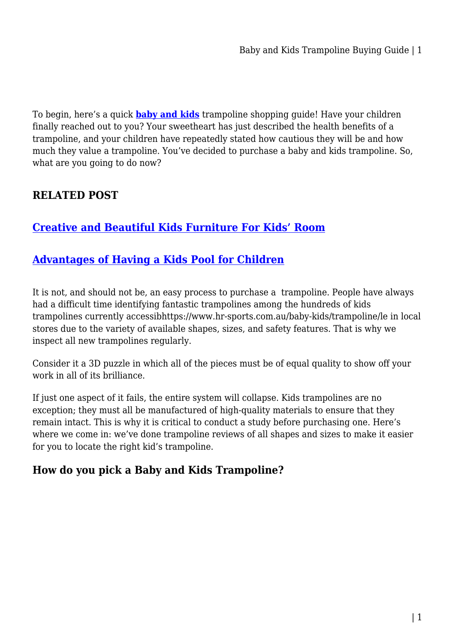To begin, here's a quick **[baby and kids](https://www.hr-sports.com.au/baby-kids/)** trampoline shopping guide! Have your children finally reached out to you? Your sweetheart has just described the health benefits of a trampoline, and your children have repeatedly stated how cautious they will be and how much they value a trampoline. You've decided to purchase a baby and kids trampoline. So, what are you going to do now?

# **RELATED POST**

# **[Creative and Beautiful Kids Furniture For Kids' Room](https://bubbaearth.com.au/creative-and-beautiful-kids-furniture-for-kids-room/)**

### **[Advantages of Having a Kids Pool for Children](https://bubbaearth.com.au/advantages-of-having-a-kids-pool-for-children/)**

It is not, and should not be, an easy process to purchase a trampoline. People have always had a difficult time identifying fantastic trampolines among the hundreds of kids trampolines currently accessibhttps://www.hr-sports.com.au/baby-kids/trampoline/le in local stores due to the variety of available shapes, sizes, and safety features. That is why we inspect all new trampolines regularly.

Consider it a 3D puzzle in which all of the pieces must be of equal quality to show off your work in all of its brilliance.

If just one aspect of it fails, the entire system will collapse. Kids trampolines are no exception; they must all be manufactured of high-quality materials to ensure that they remain intact. This is why it is critical to conduct a study before purchasing one. Here's where we come in: we've done trampoline reviews of all shapes and sizes to make it easier for you to locate the right kid's trampoline.

### **How do you pick a Baby and Kids Trampoline?**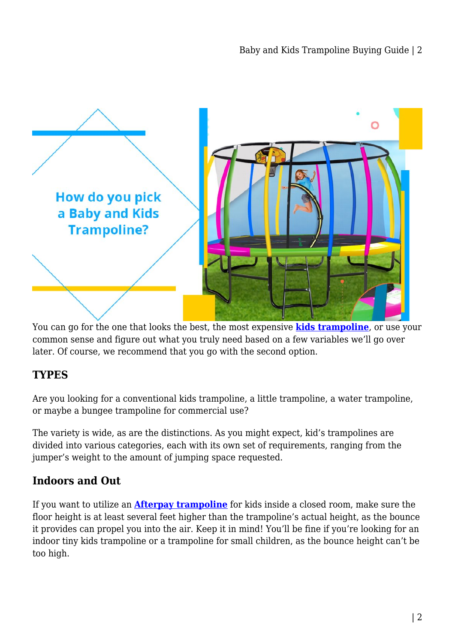

You can go for the one that looks the best, the most expensive **[kids trampoline](https://www.hr-sports.com.au/baby-kids/trampoline/)**, or use your common sense and figure out what you truly need based on a few variables we'll go over later. Of course, we recommend that you go with the second option.

# **TYPES**

Are you looking for a conventional kids trampoline, a little trampoline, a water trampoline, or maybe a bungee trampoline for commercial use?

The variety is wide, as are the distinctions. As you might expect, kid's trampolines are divided into various categories, each with its own set of requirements, ranging from the jumper's weight to the amount of jumping space requested.

### **Indoors and Out**

If you want to utilize an **[Afterpay trampoline](https://www.hr-sports.com.au/fitness/trampoline/)** for kids inside a closed room, make sure the floor height is at least several feet higher than the trampoline's actual height, as the bounce it provides can propel you into the air. Keep it in mind! You'll be fine if you're looking for an indoor tiny kids trampoline or a trampoline for small children, as the bounce height can't be too high.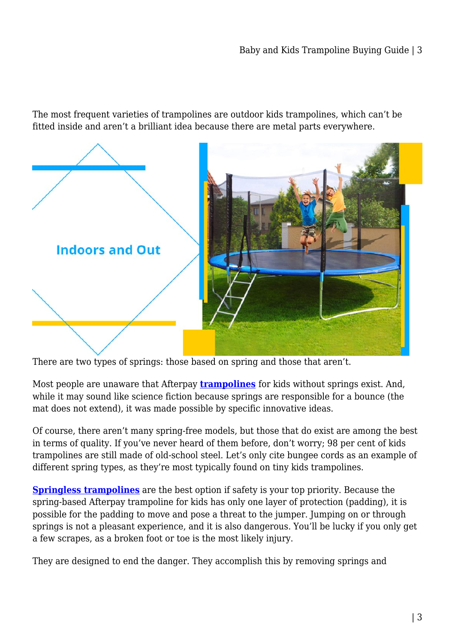The most frequent varieties of trampolines are outdoor kids trampolines, which can't be fitted inside and aren't a brilliant idea because there are metal parts everywhere.



There are two types of springs: those based on spring and those that aren't.

Most people are unaware that Afterpay **[trampolines](https://mumscloset.com.au/benefits-of-having-trampoline-at-your-home/)** for kids without springs exist. And, while it may sound like science fiction because springs are responsible for a bounce (the mat does not extend), it was made possible by specific innovative ideas.

Of course, there aren't many spring-free models, but those that do exist are among the best in terms of quality. If you've never heard of them before, don't worry; 98 per cent of kids trampolines are still made of old-school steel. Let's only cite bungee cords as an example of different spring types, as they're most typically found on tiny kids trampolines.

**[Springless trampolines](https://www.hr-sports.com.au/fitness/trampoline/)** are the best option if safety is your top priority. Because the spring-based Afterpay trampoline for kids has only one layer of protection (padding), it is possible for the padding to move and pose a threat to the jumper. Jumping on or through springs is not a pleasant experience, and it is also dangerous. You'll be lucky if you only get a few scrapes, as a broken foot or toe is the most likely injury.

They are designed to end the danger. They accomplish this by removing springs and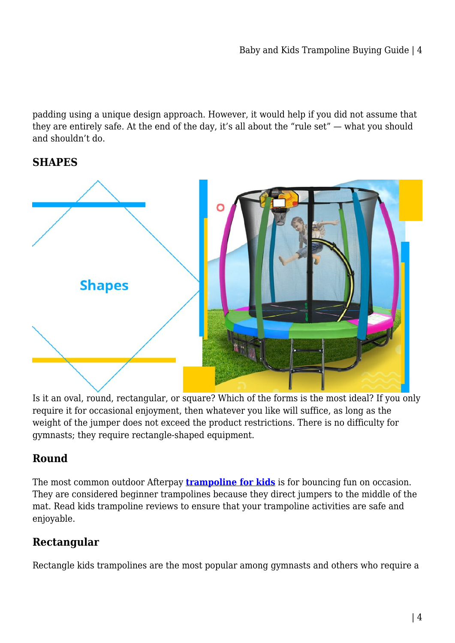padding using a unique design approach. However, it would help if you did not assume that they are entirely safe. At the end of the day, it's all about the "rule set" — what you should and shouldn't do.

#### **SHAPES**



Is it an oval, round, rectangular, or square? Which of the forms is the most ideal? If you only require it for occasional enjoyment, then whatever you like will suffice, as long as the weight of the jumper does not exceed the product restrictions. There is no difficulty for gymnasts; they require rectangle-shaped equipment.

### **Round**

The most common outdoor Afterpay **[trampoline for kids](https://www.hr-sports.com.au/baby-kids/trampoline/)** is for bouncing fun on occasion. They are considered beginner trampolines because they direct jumpers to the middle of the mat. Read kids trampoline reviews to ensure that your trampoline activities are safe and enjoyable.

# **Rectangular**

Rectangle kids trampolines are the most popular among gymnasts and others who require a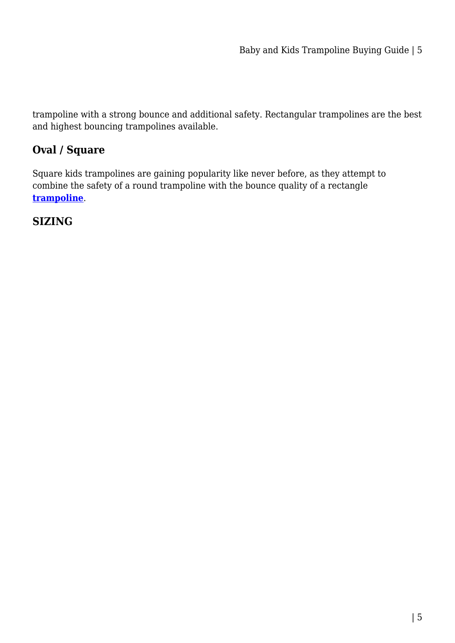trampoline with a strong bounce and additional safety. Rectangular trampolines are the best and highest bouncing trampolines available.

### **Oval / Square**

Square kids trampolines are gaining popularity like never before, as they attempt to combine the safety of a round trampoline with the bounce quality of a rectangle **[trampoline](https://afterpay-store.blogspot.com/2021/12/the-complete-guide-to-purchasing.html)**.

### **SIZING**